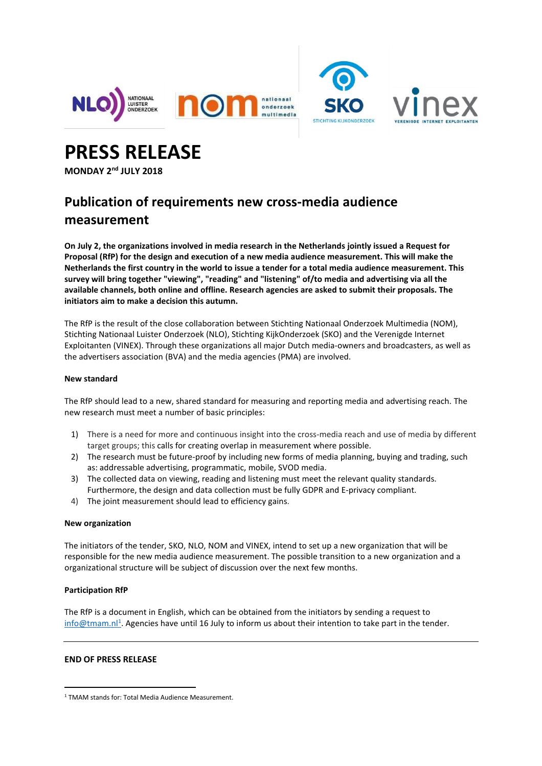



**PRESS RELEASE**

**MONDAY 2nd JULY 2018**

# **Publication of requirements new cross-media audience measurement**

**On July 2, the organizations involved in media research in the Netherlands jointly issued a Request for Proposal (RfP) for the design and execution of a new media audience measurement. This will make the** Netherlands the first country in the world to issue a tender for a total media audience measurement. This **survey will bring together "viewing", "reading" and "listening" of/to media and advertising via all the available channels, both online and offline. Research agencies are asked to submit their proposals. The initiators aim to make a decision this autumn.**

The RfP is the result of the close collaboration between Stichting Nationaal Onderzoek Multimedia (NOM), Stichting Nationaal Luister Onderzoek (NLO), Stichting KijkOnderzoek (SKO) and the Verenigde Internet Exploitanten (VINEX). Through these organizations all major Dutch media-owners and broadcasters, as well as the advertisers association (BVA) and the media agencies (PMA) are involved.

## **New standard**

The RfP should lead to a new, shared standard for measuring and reporting media and advertising reach. The new research must meet a number of basic principles:

- 1) There is a need for more and continuous insight into the cross-media reach and use of media by different target groups; this calls for creating overlap in measurement where possible.
- 2) The research must be future-proof by including new forms of media planning, buying and trading, such as: addressable advertising, programmatic, mobile, SVOD media.
- 3) The collected data on viewing, reading and listening must meet the relevant quality standards. Furthermore, the design and data collection must be fully GDPR and E-privacy compliant.
- 4) The joint measurement should lead to efficiency gains.

## **New organization**

The initiators of the tender, SKO, NLO, NOM and VINEX, intend to set up a new organization that will be responsible for the new media audience measurement. The possible transition to a new organization and a organizational structure will be subject of discussion over the next few months.

## **Participation RfP**

 $\overline{a}$ 

The RfP is a document in English, which can be obtained from the initiators by sending a request to [info@tmam.nl](mailto:info@tmam.nl)<sup>1</sup>. Agencies have until 16 July to inform us about their intention to take part in the tender.

## **END OF PRESS RELEASE**

<sup>1</sup> TMAM stands for: Total Media Audience Measurement.